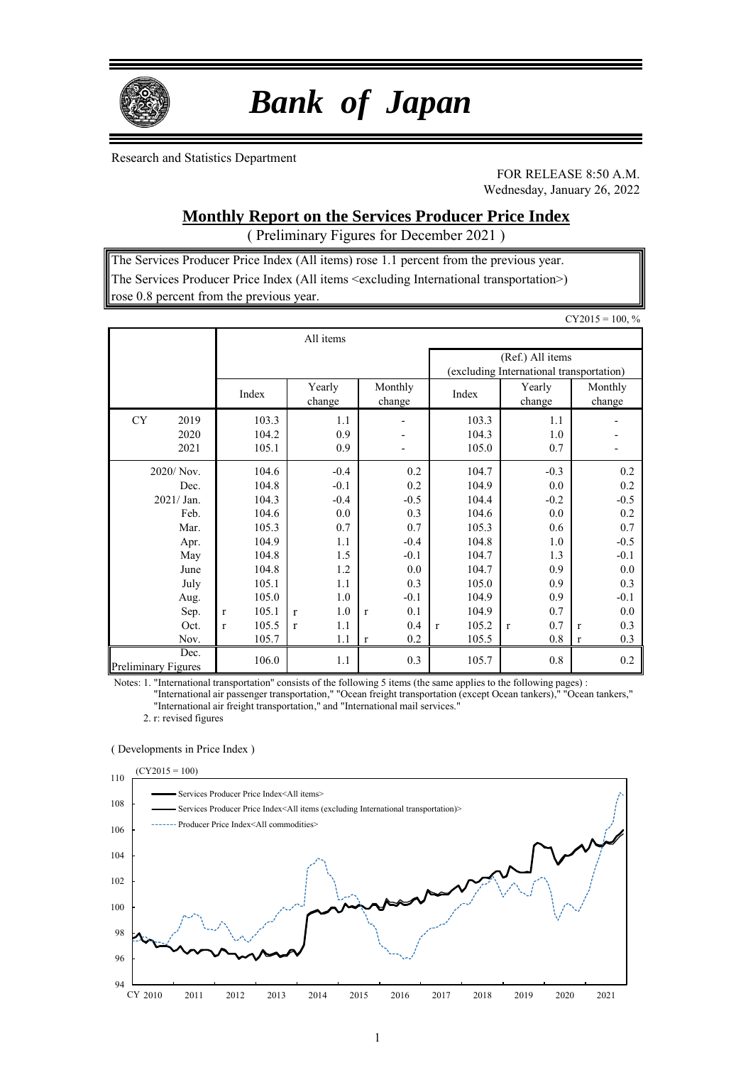

# *Bank of Japan*

Research and Statistics Department

FOR RELEASE 8:50 A.M. Wednesday, January 26, 2022

### **Monthly Report on the Services Producer Price Index**

( Preliminary Figures for December 2021 )

The Services Producer Price Index (All items) rose 1.1 percent from the previous year. The Services Producer Price Index (All items <excluding International transportation>) rose 0.8 percent from the previous year.

|                                    |              |                |                     |                                            |                       |                                                              | $CY2015 = 100, %$   |
|------------------------------------|--------------|----------------|---------------------|--------------------------------------------|-----------------------|--------------------------------------------------------------|---------------------|
|                                    |              |                | All items           |                                            |                       |                                                              |                     |
|                                    |              |                |                     |                                            |                       | (Ref.) All items<br>(excluding International transportation) |                     |
|                                    |              | Index          | Yearly<br>change    | Monthly<br>change                          | Index                 | Yearly<br>change                                             | Monthly<br>change   |
| 2019<br><b>CY</b><br>2020          |              | 103.3<br>104.2 | 1.1<br>0.9          | $\overline{\phantom{a}}$<br>$\overline{a}$ | 103.3<br>104.3        | 1.1<br>1.0                                                   |                     |
| 2021                               |              | 105.1          | 0.9                 | $\overline{\phantom{a}}$                   | 105.0                 | 0.7                                                          |                     |
| 2020/ Nov.                         |              | 104.6          | $-0.4$              | 0.2                                        | 104.7                 | $-0.3$                                                       | 0.2                 |
| Dec.                               |              | 104.8          | $-0.1$              | 0.2                                        | 104.9                 | 0.0                                                          | 0.2                 |
| $2021/$ Jan.                       |              | 104.3          | $-0.4$              | $-0.5$                                     | 104.4                 | $-0.2$                                                       | $-0.5$              |
| Feb.                               |              | 104.6          | 0.0                 | 0.3                                        | 104.6                 | 0.0                                                          | 0.2                 |
| Mar.                               |              | 105.3          | 0.7                 | 0.7                                        | 105.3                 | 0.6                                                          | 0.7                 |
| Apr.                               |              | 104.9          | 1.1                 | $-0.4$                                     | 104.8                 | 1.0                                                          | $-0.5$              |
| May                                |              | 104.8          | 1.5                 | $-0.1$                                     | 104.7                 | 1.3                                                          | $-0.1$              |
| June                               |              | 104.8          | 1.2                 | 0.0                                        | 104.7                 | 0.9                                                          | 0.0                 |
| July                               |              | 105.1          | 1.1                 | 0.3                                        | 105.0                 | 0.9                                                          | 0.3                 |
| Aug.                               |              | 105.0          | 1.0                 | $-0.1$                                     | 104.9                 | 0.9                                                          | $-0.1$              |
| Sep.                               | $\mathbf{r}$ | 105.1          | 1.0<br>r            | 0.1<br>$\mathbf{r}$                        | 104.9                 | 0.7                                                          | 0.0                 |
| Oct.                               | $\mathbf{r}$ | 105.5          | 1.1<br>$\mathbf{r}$ | 0.4                                        | 105.2<br>$\mathbf{r}$ | 0.7<br>$\mathbf{r}$                                          | 0.3<br>$\mathbf{r}$ |
| Nov.                               |              | 105.7          | 1.1                 | 0.2<br>$\mathbf{r}$                        | 105.5                 | $0.8\,$                                                      | 0.3<br>$\mathbf{r}$ |
| Dec.<br><b>Preliminary Figures</b> |              | 106.0          | 1.1                 | 0.3                                        | 105.7                 | 0.8                                                          | 0.2                 |

Notes: 1. "International transportation" consists of the following 5 items (the same applies to the following pages) :

"International air passenger transportation," "Ocean freight transportation (except Ocean tankers)," "Ocean tankers," "International air freight transportation," and "International mail services."

2. r: revised figures

#### ( Developments in Price Index )

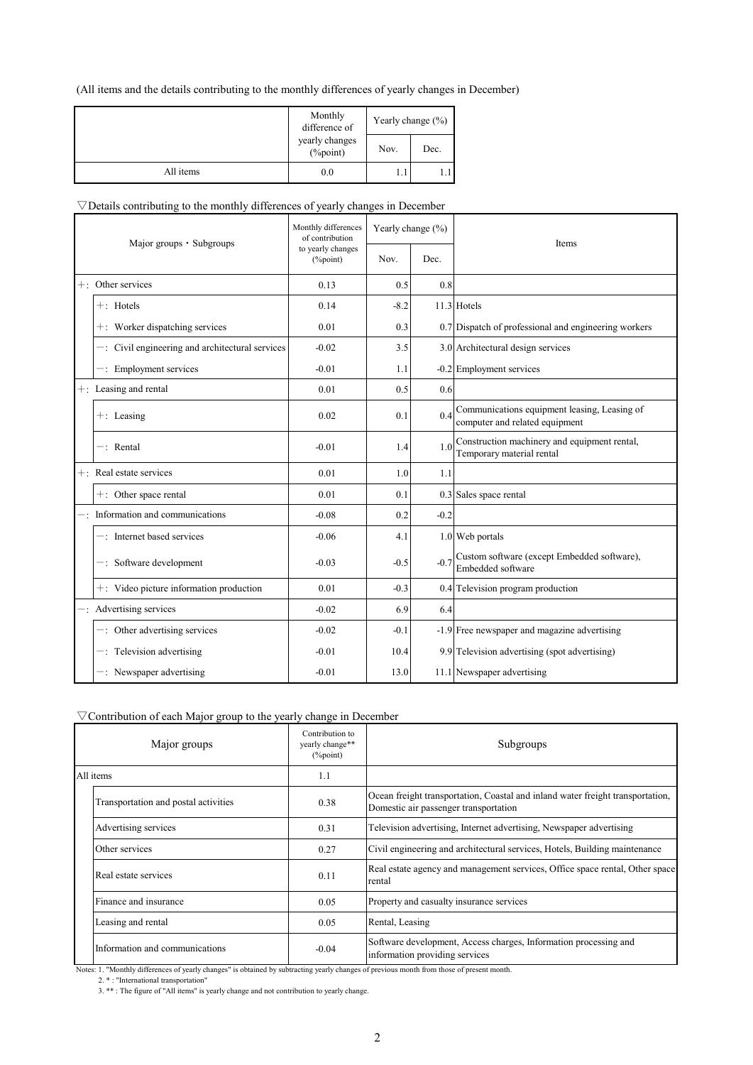#### (All items and the details contributing to the monthly differences of yearly changes in December)

|           | Monthly<br>difference of       | Yearly change $(\% )$ |      |  |  |
|-----------|--------------------------------|-----------------------|------|--|--|
|           | yearly changes<br>$(\%$ point) | Nov.                  | Dec. |  |  |
| All items | 0.0                            |                       | 1.1  |  |  |

#### $\nabla$ Details contributing to the monthly differences of yearly changes in December

| Major groups • Subgroups                           | Monthly differences<br>of contribution | Yearly change (%) |        | Items                                                                          |
|----------------------------------------------------|----------------------------------------|-------------------|--------|--------------------------------------------------------------------------------|
|                                                    | to yearly changes<br>$(\%$ point)      | Nov.              | Dec.   |                                                                                |
| $+$ : Other services                               | 0.13                                   | 0.5               | 0.8    |                                                                                |
| $+$ : Hotels                                       | 0.14                                   | $-8.2$            |        | 11.3 Hotels                                                                    |
| +: Worker dispatching services                     | 0.01                                   | 0.3               |        | 0.7 Dispatch of professional and engineering workers                           |
| $-$ : Civil engineering and architectural services | $-0.02$                                | 3.5               |        | 3.0 Architectural design services                                              |
| $-$ : Employment services                          | $-0.01$                                | 1.1               |        | -0.2 Employment services                                                       |
| $+$ : Leasing and rental                           | 0.01                                   | 0.5               | 0.6    |                                                                                |
| $+:$ Leasing                                       | 0.02                                   | 0.1               | 0.4    | Communications equipment leasing, Leasing of<br>computer and related equipment |
| $-$ : Rental                                       | $-0.01$                                | 1.4               | 1.0    | Construction machinery and equipment rental,<br>Temporary material rental      |
| $+$ : Real estate services                         | 0.01                                   | 1.0               | 1.1    |                                                                                |
| $+$ : Other space rental                           | 0.01                                   | 0.1               |        | 0.3 Sales space rental                                                         |
| Information and communications                     | $-0.08$                                | 0.2               | $-0.2$ |                                                                                |
| $-$ : Internet based services                      | $-0.06$                                | 4.1               |        | 1.0 Web portals                                                                |
| -: Software development                            | $-0.03$                                | $-0.5$            | $-0.7$ | Custom software (except Embedded software),<br>Embedded software               |
| +: Video picture information production            | 0.01                                   | $-0.3$            |        | 0.4 Television program production                                              |
| -: Advertising services                            | $-0.02$                                | 6.9               | 6.4    |                                                                                |
| $-$ : Other advertising services                   | $-0.02$                                | $-0.1$            |        | -1.9 Free newspaper and magazine advertising                                   |
| $-$ : Television advertising                       | $-0.01$                                | 10.4              |        | 9.9 Television advertising (spot advertising)                                  |
| $-$ : Newspaper advertising                        | $-0.01$                                | 13.0              |        | 11.1 Newspaper advertising                                                     |

#### ▽Contribution of each Major group to the yearly change in December

|                    | Major groups                         | Contribution to<br>yearly change**<br>$(\%$ point) | Subgroups                                                                                                               |
|--------------------|--------------------------------------|----------------------------------------------------|-------------------------------------------------------------------------------------------------------------------------|
|                    | All items                            | 1.1                                                |                                                                                                                         |
|                    | Transportation and postal activities | 0.38                                               | Ocean freight transportation, Coastal and inland water freight transportation,<br>Domestic air passenger transportation |
|                    | Advertising services                 | 0.31                                               | Television advertising, Internet advertising, Newspaper advertising                                                     |
|                    | Other services                       | 0.27                                               | Civil engineering and architectural services, Hotels, Building maintenance                                              |
|                    | Real estate services                 | 0.11                                               | Real estate agency and management services, Office space rental, Other space<br>rental                                  |
|                    | Finance and insurance                | 0.05                                               | Property and casualty insurance services                                                                                |
| Leasing and rental |                                      | 0.05                                               | Rental, Leasing                                                                                                         |
|                    | Information and communications       | $-0.04$                                            | Software development, Access charges, Information processing and<br>information providing services                      |

Notes: 1. "Monthly differences of yearly changes" is obtained by subtracting yearly changes of previous month from those of present month.

2. \* : "International transportation"

<sup>3. \*\* :</sup> The figure of "All items" is yearly change and not contribution to yearly change.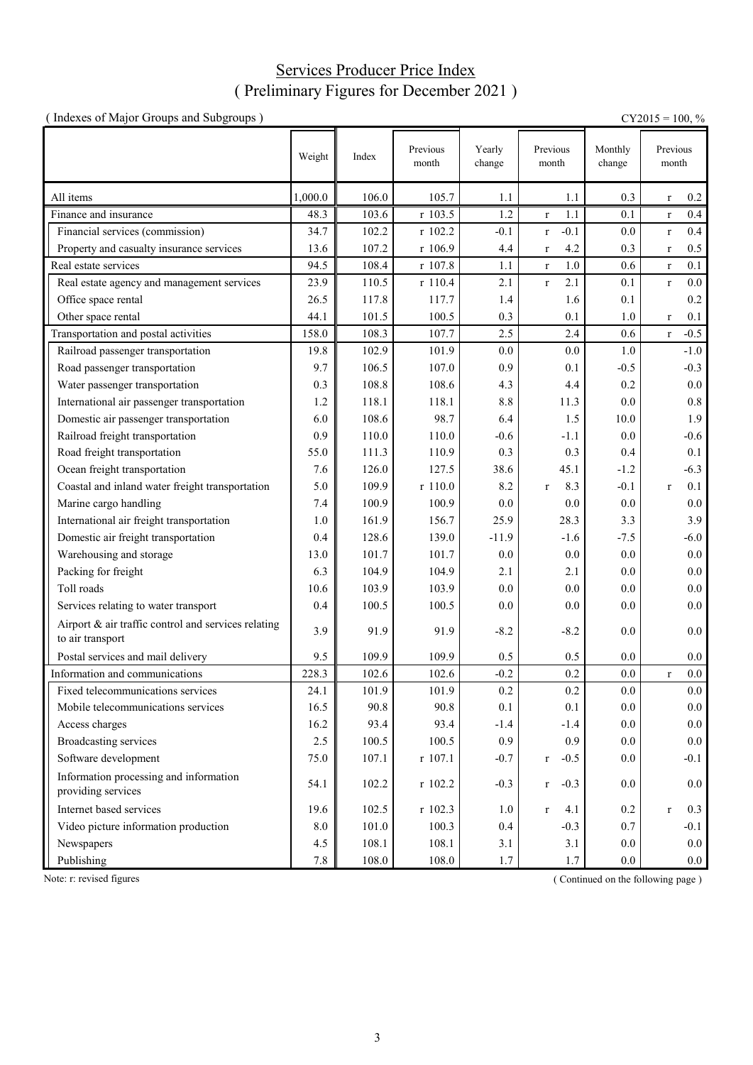## Services Producer Price Index ( Preliminary Figures for December 2021 )

| (Indexes of Major Groups and Subgroups)                                 |         |       |                   |                  |                     |                   | $CY2015 = 100, %$      |
|-------------------------------------------------------------------------|---------|-------|-------------------|------------------|---------------------|-------------------|------------------------|
|                                                                         | Weight  | Index | Previous<br>month | Yearly<br>change | Previous<br>month   | Monthly<br>change | Previous<br>month      |
| All items                                                               | 1,000.0 | 106.0 | 105.7             | 1.1              | 1.1                 | 0.3               | 0.2<br>$\bf r$         |
| Finance and insurance                                                   | 48.3    | 103.6 | r 103.5           | 1.2              | 1.1<br>$\bf r$      | 0.1               | 0.4<br>$\bf r$         |
| Financial services (commission)                                         | 34.7    | 102.2 | r 102.2           | $-0.1$           | $-0.1$<br>$\bf r$   | 0.0               | 0.4<br>$\mathbf r$     |
| Property and casualty insurance services                                | 13.6    | 107.2 | r 106.9           | 4.4              | 4.2<br>$\mathbf{r}$ | 0.3               | 0.5<br>$\mathbf{r}$    |
| Real estate services                                                    | 94.5    | 108.4 | r 107.8           | 1.1              | 1.0<br>$\mathbf r$  | 0.6               | 0.1<br>$\mathbf{r}$    |
| Real estate agency and management services                              | 23.9    | 110.5 | r 110.4           | 2.1              | 2.1<br>$\mathbf{r}$ | 0.1               | $0.0\,$<br>$\mathbf r$ |
| Office space rental                                                     | 26.5    | 117.8 | 117.7             | 1.4              | 1.6                 | 0.1               | 0.2                    |
| Other space rental                                                      | 44.1    | 101.5 | 100.5             | 0.3              | 0.1                 | 1.0               | 0.1<br>$\mathbf{r}$    |
| Transportation and postal activities                                    | 158.0   | 108.3 | 107.7             | 2.5              | 2.4                 | 0.6               | $-0.5$<br>$\mathbf{r}$ |
| Railroad passenger transportation                                       | 19.8    | 102.9 | 101.9             | 0.0              | 0.0                 | 1.0               | $-1.0$                 |
| Road passenger transportation                                           | 9.7     | 106.5 | 107.0             | 0.9              | 0.1                 | $-0.5$            | $-0.3$                 |
| Water passenger transportation                                          | 0.3     | 108.8 | 108.6             | 4.3              | 4.4                 | 0.2               | 0.0                    |
| International air passenger transportation                              | 1.2     | 118.1 | 118.1             | 8.8              | 11.3                | 0.0               | $0.8\,$                |
| Domestic air passenger transportation                                   | 6.0     | 108.6 | 98.7              | 6.4              | 1.5                 | 10.0              | 1.9                    |
| Railroad freight transportation                                         | 0.9     | 110.0 | 110.0             | $-0.6$           | $-1.1$              | 0.0               | $-0.6$                 |
| Road freight transportation                                             | 55.0    | 111.3 | 110.9             | 0.3              | 0.3                 | 0.4               | 0.1                    |
| Ocean freight transportation                                            | 7.6     | 126.0 | 127.5             | 38.6             | 45.1                | $-1.2$            | $-6.3$                 |
| Coastal and inland water freight transportation                         | 5.0     | 109.9 | r 110.0           | 8.2              | 8.3<br>$\mathbf{r}$ | $-0.1$            | 0.1<br>$\mathbf{r}$    |
| Marine cargo handling                                                   | 7.4     | 100.9 | 100.9             | 0.0              | 0.0                 | 0.0               | $0.0\,$                |
| International air freight transportation                                | 1.0     | 161.9 | 156.7             | 25.9             | 28.3                | 3.3               | 3.9                    |
| Domestic air freight transportation                                     | 0.4     | 128.6 | 139.0             | $-11.9$          | $-1.6$              | $-7.5$            | $-6.0$                 |
| Warehousing and storage                                                 | 13.0    | 101.7 | 101.7             | 0.0              | 0.0                 | 0.0               | $0.0\,$                |
| Packing for freight                                                     | 6.3     | 104.9 | 104.9             | 2.1              | 2.1                 | 0.0               | $0.0\,$                |
| Toll roads                                                              | 10.6    | 103.9 | 103.9             | 0.0              | 0.0                 | 0.0               | 0.0                    |
| Services relating to water transport                                    | 0.4     | 100.5 | 100.5             | $0.0\,$          | 0.0                 | $0.0\,$           | 0.0                    |
| Airport & air traffic control and services relating<br>to air transport | 3.9     | 91.9  | 91.9              | $-8.2$           | $-8.2$              | 0.0               | 0.0                    |
| Postal services and mail delivery                                       | 9.5     | 109.9 | 109.9             | 0.5              | 0.5                 | 0.0               | 0.0                    |
| Information and communications                                          | 228.3   | 102.6 | 102.6             | $-0.2$           | 0.2                 | 0.0               | $0.0\,$<br>$\mathbf r$ |
| Fixed telecommunications services                                       | 24.1    | 101.9 | 101.9             | 0.2              | 0.2                 | 0.0               | $0.0\,$                |
| Mobile telecommunications services                                      | 16.5    | 90.8  | 90.8              | 0.1              | 0.1                 | 0.0               | $0.0\,$                |
| Access charges                                                          | 16.2    | 93.4  | 93.4              | $-1.4$           | $-1.4$              | 0.0               | $0.0\,$                |
| <b>Broadcasting services</b>                                            | 2.5     | 100.5 | 100.5             | 0.9              | 0.9                 | 0.0               | $0.0\,$                |
| Software development                                                    | 75.0    | 107.1 | r 107.1           | $-0.7$           | $-0.5$<br>r         | 0.0               | $-0.1$                 |
| Information processing and information<br>providing services            | 54.1    | 102.2 | $r$ 102.2         | $-0.3$           | $-0.3$<br>r         | 0.0               | 0.0                    |
| Internet based services                                                 | 19.6    | 102.5 | $r$ 102.3         | 1.0              | 4.1<br>r            | 0.2               | 0.3<br>$\mathbf{r}$    |
| Video picture information production                                    | 8.0     | 101.0 | 100.3             | 0.4              | $-0.3$              | 0.7               | $-0.1$                 |
| Newspapers                                                              | 4.5     | 108.1 | 108.1             | 3.1              | 3.1                 | 0.0               | 0.0                    |
| Publishing                                                              | $7.8\,$ | 108.0 | 108.0             | 1.7              | 1.7                 | $0.0\,$           | $0.0\,$                |

Note: r: revised figures (Continued on the following page)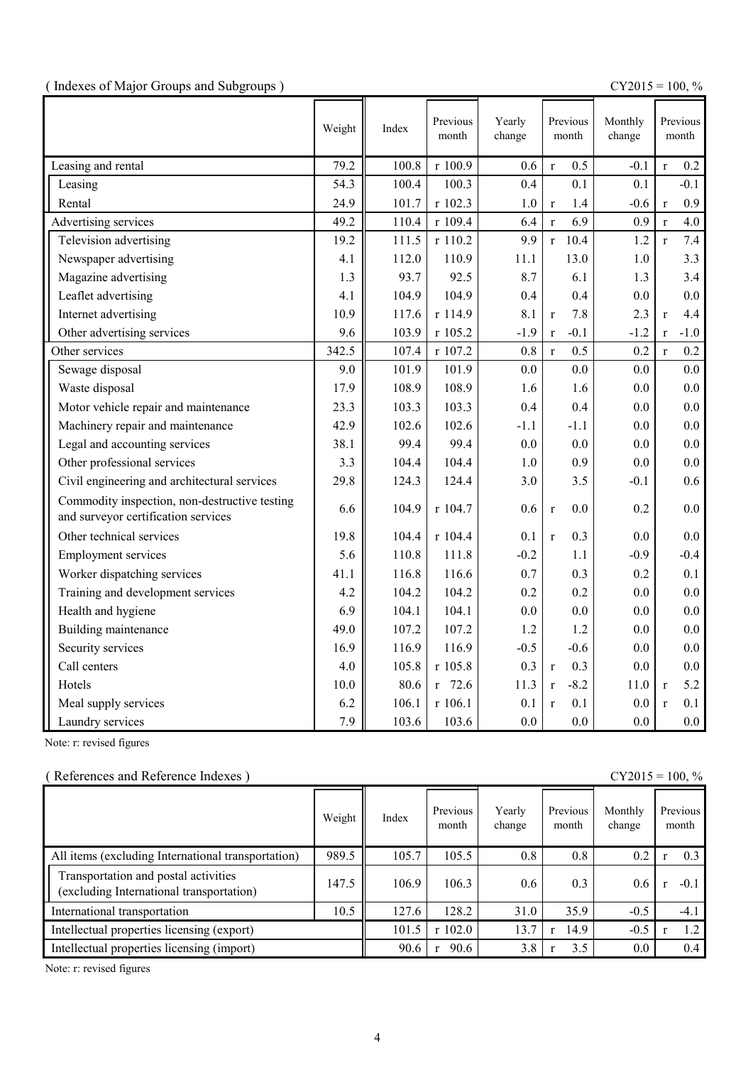|  |  | (Indexes of Major Groups and Subgroups) |  |
|--|--|-----------------------------------------|--|
|  |  |                                         |  |

(  $\text{CY2015} = 100, \%$ 

|                                                                                      | Weight | Index | Previous<br>month | Yearly<br>change | Previous<br>month      | Monthly<br>change |              | Previous<br>month |
|--------------------------------------------------------------------------------------|--------|-------|-------------------|------------------|------------------------|-------------------|--------------|-------------------|
| Leasing and rental                                                                   | 79.2   | 100.8 | r 100.9           | 0.6              | 0.5<br>$\mathbf{r}$    | $-0.1$            | $\mathbf{r}$ | 0.2               |
| Leasing                                                                              | 54.3   | 100.4 | 100.3             | 0.4              | 0.1                    | 0.1               |              | $-0.1$            |
| Rental                                                                               | 24.9   | 101.7 | r 102.3           | $1.0\,$          | 1.4<br>$\mathbf r$     | $-0.6$            | $\mathbf{r}$ | 0.9               |
| Advertising services                                                                 | 49.2   | 110.4 | r 109.4           | 6.4              | 6.9<br>$\mathbf{r}$    | 0.9               | $\mathbf{r}$ | 4.0               |
| Television advertising                                                               | 19.2   | 111.5 | r 110.2           | 9.9              | 10.4<br>$\mathbf{r}$   | 1.2               | $\mathbf{r}$ | 7.4               |
| Newspaper advertising                                                                | 4.1    | 112.0 | 110.9             | 11.1             | 13.0                   | 1.0               |              | 3.3               |
| Magazine advertising                                                                 | 1.3    | 93.7  | 92.5              | 8.7              | 6.1                    | 1.3               |              | 3.4               |
| Leaflet advertising                                                                  | 4.1    | 104.9 | 104.9             | 0.4              | 0.4                    | 0.0               |              | 0.0               |
| Internet advertising                                                                 | 10.9   | 117.6 | r 114.9           | 8.1              | 7.8<br>$\mathbf{r}$    | 2.3               | $\mathbf{r}$ | 4.4               |
| Other advertising services                                                           | 9.6    | 103.9 | r 105.2           | $-1.9$           | $-0.1$<br>$\mathbf r$  | $-1.2$            | $\mathbf{r}$ | $-1.0$            |
| Other services                                                                       | 342.5  | 107.4 | r 107.2           | 0.8              | 0.5<br>$\mathbf{r}$    | 0.2               | $\mathbf{r}$ | 0.2               |
| Sewage disposal                                                                      | 9.0    | 101.9 | 101.9             | 0.0              | 0.0                    | 0.0               |              | 0.0               |
| Waste disposal                                                                       | 17.9   | 108.9 | 108.9             | 1.6              | 1.6                    | 0.0               |              | 0.0               |
| Motor vehicle repair and maintenance                                                 | 23.3   | 103.3 | 103.3             | 0.4              | 0.4                    | 0.0               |              | 0.0               |
| Machinery repair and maintenance                                                     | 42.9   | 102.6 | 102.6             | $-1.1$           | $-1.1$                 | 0.0               |              | 0.0               |
| Legal and accounting services                                                        | 38.1   | 99.4  | 99.4              | 0.0              | 0.0                    | 0.0               |              | 0.0               |
| Other professional services                                                          | 3.3    | 104.4 | 104.4             | 1.0              | 0.9                    | 0.0               |              | 0.0               |
| Civil engineering and architectural services                                         | 29.8   | 124.3 | 124.4             | 3.0              | 3.5                    | $-0.1$            |              | 0.6               |
| Commodity inspection, non-destructive testing<br>and surveyor certification services | 6.6    | 104.9 | r 104.7           | 0.6              | 0.0<br>$\mathbf{r}$    | 0.2               |              | 0.0               |
| Other technical services                                                             | 19.8   | 104.4 | r 104.4           | 0.1              | 0.3<br>$\mathbf{r}$    | 0.0               |              | 0.0               |
| <b>Employment services</b>                                                           | 5.6    | 110.8 | 111.8             | $-0.2$           | 1.1                    | $-0.9$            |              | $-0.4$            |
| Worker dispatching services                                                          | 41.1   | 116.8 | 116.6             | 0.7              | 0.3                    | 0.2               |              | 0.1               |
| Training and development services                                                    | 4.2    | 104.2 | 104.2             | 0.2              | 0.2                    | 0.0               |              | 0.0               |
| Health and hygiene                                                                   | 6.9    | 104.1 | 104.1             | 0.0              | 0.0                    | 0.0               |              | 0.0               |
| Building maintenance                                                                 | 49.0   | 107.2 | 107.2             | 1.2              | 1.2                    | 0.0               |              | 0.0               |
| Security services                                                                    | 16.9   | 116.9 | 116.9             | $-0.5$           | $-0.6$                 | 0.0               |              | 0.0               |
| Call centers                                                                         | 4.0    | 105.8 | r 105.8           | 0.3              | 0.3<br>$\mathbf{r}$    | 0.0               |              | 0.0               |
| Hotels                                                                               | 10.0   | 80.6  | $r$ 72.6          | 11.3             | $-8.2$<br>$\mathbf{r}$ | 11.0              | $\mathbf{r}$ | 5.2               |
| Meal supply services                                                                 | 6.2    | 106.1 | r 106.1           | 0.1              | 0.1<br>$\mathbf{r}$    | 0.0               | $\mathbf{r}$ | 0.1               |
| Laundry services                                                                     | 7.9    | 103.6 | 103.6             | 0.0              | 0.0                    | 0.0               |              | 0.0               |

Note: r: revised figures

## ( References and Reference Indexes ) CY2015 = 100, %

|                                                                                  | Weight | Index | Previous<br>month | Yearly<br>change | Previous<br>month | Monthly<br>change | Previous<br>month |
|----------------------------------------------------------------------------------|--------|-------|-------------------|------------------|-------------------|-------------------|-------------------|
| All items (excluding International transportation)                               | 989.5  | 105.7 | 105.5             | 0.8              | 0.8               | 0.2               | 0.3               |
| Transportation and postal activities<br>(excluding International transportation) | 147.5  | 106.9 | 106.3             | 0.6              | 0.3               | 0.6 <sub>1</sub>  | $-0.1$            |
| International transportation                                                     | 10.5   | 127.6 | 128.2             | 31.0             | 35.9              | $-0.5$            | $-4.1$            |
| Intellectual properties licensing (export)                                       |        | 101.5 | r 102.0           | 13.7             | 14.9              | $-0.5$            | 1.2               |
| Intellectual properties licensing (import)                                       |        | 90.6  | 90.6              | 3.8              | 3.5               | $0.0\,$           | 0.4               |

Note: r: revised figures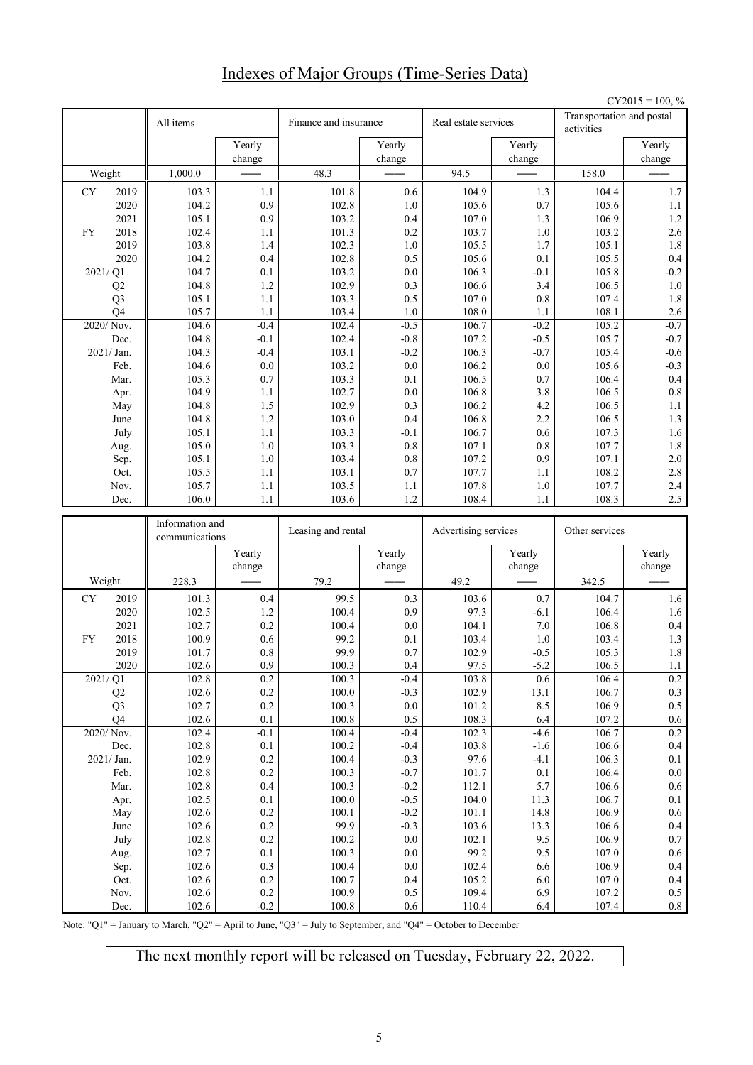## Indexes of Major Groups (Time-Series Data)

|           |                                 |                                   |                   |                       |                    |                      |                  |                                         | $CY2015 = 100, %$  |
|-----------|---------------------------------|-----------------------------------|-------------------|-----------------------|--------------------|----------------------|------------------|-----------------------------------------|--------------------|
|           |                                 | All items                         |                   | Finance and insurance |                    | Real estate services |                  | Transportation and postal<br>activities |                    |
|           |                                 |                                   | Yearly<br>change  |                       | Yearly<br>change   |                      | Yearly<br>change |                                         | Yearly<br>change   |
|           | Weight                          | 1,000.0                           |                   | 48.3                  |                    | 94.5                 |                  | 158.0                                   |                    |
| CY        | 2019                            | 103.3                             | 1.1               | 101.8                 | 0.6                | 104.9                | 1.3              | 104.4                                   | 1.7                |
|           | 2020                            | 104.2                             | 0.9               | 102.8                 | 1.0                | 105.6                | 0.7              | 105.6                                   | $1.1\,$            |
|           | 2021                            | 105.1                             | 0.9               | 103.2                 | 0.4                | 107.0                | 1.3              | 106.9                                   | 1.2                |
| <b>FY</b> | 2018                            | 102.4                             | 1.1               | 101.3                 | 0.2                | 103.7                | $1.0\,$          | 103.2                                   | 2.6                |
|           | 2019                            | 103.8                             | 1.4               | 102.3                 | 1.0                | 105.5                | 1.7              | 105.1                                   | 1.8                |
|           | 2020                            | 104.2                             | 0.4               | 102.8                 | 0.5                | 105.6                | 0.1              | 105.5                                   | 0.4                |
|           | $\overline{2021}/\overline{Q1}$ | 104.7<br>104.8                    | 0.1<br>1.2        | 103.2<br>102.9        | 0.0<br>0.3         | 106.3<br>106.6       | $-0.1$<br>3.4    | 105.8<br>106.5                          | $-0.2$<br>$1.0\,$  |
|           | Q2<br>Q <sub>3</sub>            | 105.1                             | 1.1               | 103.3                 | 0.5                | 107.0                | 0.8              | 107.4                                   | 1.8                |
|           | O <sub>4</sub>                  | 105.7                             | 1.1               | 103.4                 | 1.0                | 108.0                | 1.1              | 108.1                                   | 2.6                |
|           | 2020/Nov.                       | 104.6                             | $-0.4$            | 102.4                 | $-0.5$             | 106.7                | $-0.2$           | 105.2                                   | $-0.7$             |
|           | Dec.                            | 104.8                             | $-0.1$            | 102.4                 | $-0.8$             | 107.2                | $-0.5$           | 105.7                                   | $-0.7$             |
|           | 2021/ Jan.                      | 104.3                             | $-0.4$            | 103.1                 | $-0.2$             | 106.3                | $-0.7$           | 105.4                                   | $-0.6$             |
|           | Feb.                            | 104.6                             | 0.0               | 103.2                 | 0.0                | 106.2                | 0.0              | 105.6                                   | $-0.3$             |
|           | Mar.                            | 105.3                             | 0.7               | 103.3                 | 0.1                | 106.5                | 0.7              | 106.4                                   | 0.4                |
|           | Apr.                            | 104.9                             | 1.1               | 102.7                 | 0.0                | 106.8                | 3.8              | 106.5                                   | 0.8                |
|           | May                             | 104.8                             | 1.5               | 102.9                 | 0.3                | 106.2                | 4.2              | 106.5                                   | $1.1\,$            |
|           | June                            | 104.8                             | 1.2               | 103.0                 | 0.4                | 106.8                | 2.2              | 106.5                                   | $1.3\,$            |
|           | July<br>Aug.                    | 105.1<br>105.0                    | 1.1<br>1.0        | 103.3<br>103.3        | $-0.1$<br>0.8      | 106.7<br>107.1       | 0.6<br>0.8       | 107.3<br>107.7                          | 1.6<br>$1.8\,$     |
|           | Sep.                            | 105.1                             | 1.0               | 103.4                 | 0.8                | 107.2                | 0.9              | 107.1                                   | 2.0                |
|           | Oct.                            | 105.5                             | 1.1               | 103.1                 | 0.7                | 107.7                | 1.1              | 108.2                                   | 2.8                |
|           | Nov.                            | 105.7                             | 1.1               | 103.5                 | 1.1                | 107.8                | 1.0              | 107.7                                   | 2.4                |
|           | Dec.                            | 106.0                             | 1.1               | 103.6                 | 1.2                | 108.4                | 1.1              | 108.3                                   | 2.5                |
|           |                                 |                                   |                   |                       |                    |                      |                  |                                         |                    |
|           |                                 |                                   |                   |                       |                    |                      |                  |                                         |                    |
|           |                                 | Information and<br>communications |                   | Leasing and rental    |                    | Advertising services |                  | Other services                          |                    |
|           |                                 |                                   | Yearly<br>change  |                       | Yearly<br>change   |                      | Yearly<br>change |                                         | Yearly<br>change   |
|           | Weight                          | 228.3                             |                   | 79.2                  |                    | 49.2                 |                  | 342.5                                   |                    |
| <b>CY</b> | 2019                            | 101.3                             | 0.4               | 99.5                  | 0.3                | 103.6                | 0.7              | 104.7                                   | 1.6                |
|           | 2020                            | 102.5                             | 1.2               | 100.4                 | 0.9                | 97.3                 | $-6.1$           | 106.4                                   | 1.6                |
|           | 2021                            | 102.7                             | 0.2               | 100.4                 | 0.0                | 104.1                | 7.0              | 106.8                                   | 0.4                |
| <b>FY</b> | 2018                            | 100.9                             | 0.6               | 99.2                  | 0.1                | 103.4                | 1.0              | 103.4                                   | $\overline{1.3}$   |
|           | 2019                            | 101.7                             | $0.8\,$           | 99.9                  | $0.7\,$            | 102.9                | $-0.5$           | 105.3                                   | 1.8                |
|           | 2020                            | 102.6                             | 0.9               | 100.3                 | 0.4                | 97.5                 | $-5.2$           | 106.5                                   | 1.1                |
|           | 2021/Q1                         | 102.8                             | 0.2               | 100.3                 | $-0.4$             | 103.8                | 0.6              | 106.4                                   | $0.2\,$            |
|           | Q2                              | 102.6                             | $0.2\,$           | 100.0                 | $-0.3$             | 102.9                | 13.1             | 106.7                                   | $0.3\,$            |
|           | Q <sub>3</sub>                  | 102.7                             | $0.2\,$           | 100.3                 | $0.0\,$            | 101.2                | 8.5              | 106.9                                   | $0.5\,$            |
|           | Q4<br>2020/Nov.                 | 102.6<br>102.4                    | 0.1<br>$-0.1$     | 100.8<br>100.4        | 0.5<br>$-0.4$      | 108.3<br>102.3       | 6.4<br>$-4.6$    | 107.2<br>106.7                          | $0.6\,$<br>$0.2\,$ |
|           | Dec.                            | 102.8                             | 0.1               | 100.2                 | $-0.4$             | 103.8                | $-1.6$           | 106.6                                   | 0.4                |
|           | 2021/Jan.                       | 102.9                             | $0.2\,$           | 100.4                 | $-0.3$             | 97.6                 | $-4.1$           | 106.3                                   | $0.1\,$            |
|           | Feb.                            | 102.8                             | $0.2\,$           | 100.3                 | $-0.7$             | 101.7                | $0.1\,$          | 106.4                                   | $0.0\,$            |
|           | Mar.                            | 102.8                             | 0.4               | 100.3                 | $-0.2$             | 112.1                | 5.7              | 106.6                                   | $0.6\,$            |
|           | Apr.                            | 102.5                             | 0.1               | 100.0                 | $-0.5$             | 104.0                | 11.3             | 106.7                                   | $0.1\,$            |
|           | May                             | 102.6                             | $0.2\,$           | 100.1                 | $-0.2$             | 101.1                | 14.8             | 106.9                                   | $0.6\,$            |
|           | June                            | 102.6                             | $0.2\,$           | 99.9                  | $-0.3$             | 103.6                | 13.3             | 106.6                                   | 0.4                |
|           | July                            | 102.8                             | $0.2\,$<br>0.1    | 100.2                 | $0.0\,$            | 102.1                | 9.5              | 106.9                                   | $0.7\,$            |
|           | Aug.                            | 102.7<br>102.6                    | $0.3\,$           | 100.3<br>100.4        | $0.0\,$<br>$0.0\,$ | 99.2<br>102.4        | 9.5<br>6.6       | 107.0<br>106.9                          | $0.6\,$<br>0.4     |
|           | Sep.<br>Oct.                    | 102.6                             | $0.2\,$           | 100.7                 | $0.4\,$            | 105.2                | $6.0\,$          | 107.0                                   | 0.4                |
|           | Nov.<br>Dec.                    | 102.6<br>102.6                    | $0.2\,$<br>$-0.2$ | 100.9<br>100.8        | 0.5<br>0.6         | 109.4<br>110.4       | 6.9<br>6.4       | 107.2<br>107.4                          | $0.5\,$<br>$0.8\,$ |

Note: "Q1" = January to March, "Q2" = April to June, "Q3" = July to September, and "Q4" = October to December

The next monthly report will be released on Tuesday, February 22, 2022.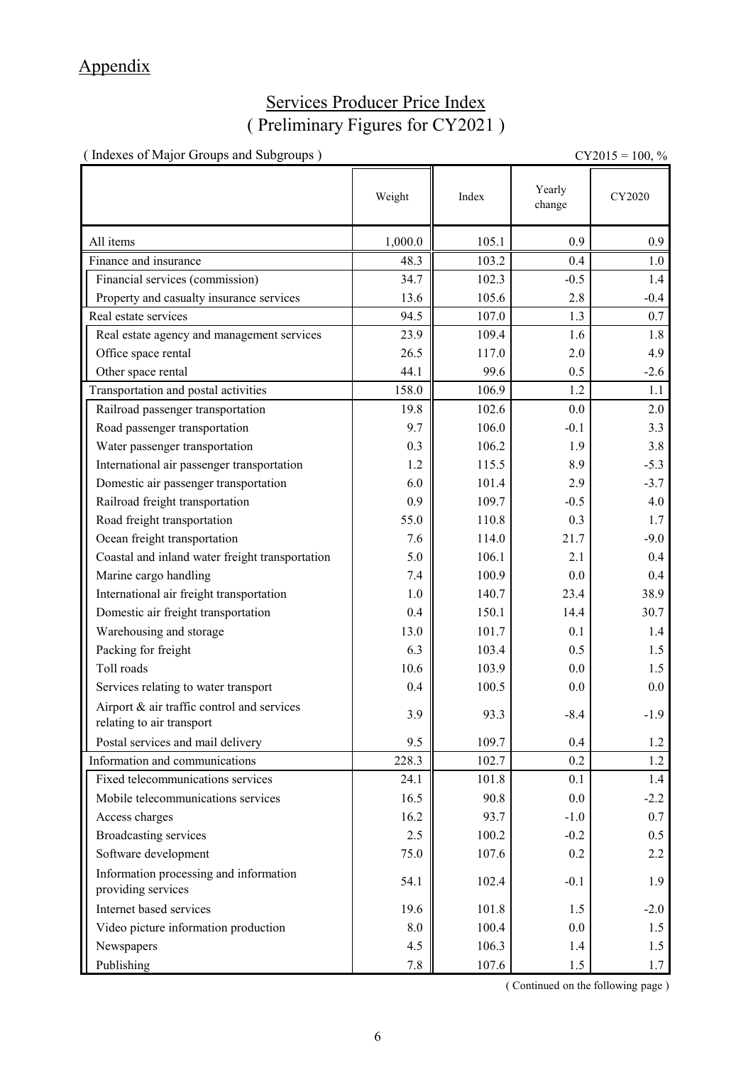# Appendix

## Services Producer Price Index ( Preliminary Figures for CY2021 )

| (Indexes of Major Groups and Subgroups)                                 |         |       |                  | $CY2015 = 100, %$ |
|-------------------------------------------------------------------------|---------|-------|------------------|-------------------|
|                                                                         | Weight  | Index | Yearly<br>change | CY2020            |
| All items                                                               | 1,000.0 | 105.1 | 0.9              | 0.9               |
| Finance and insurance                                                   | 48.3    | 103.2 | 0.4              | 1.0               |
| Financial services (commission)                                         | 34.7    | 102.3 | $-0.5$           | 1.4               |
| Property and casualty insurance services                                | 13.6    | 105.6 | 2.8              | $-0.4$            |
| Real estate services                                                    | 94.5    | 107.0 | 1.3              | 0.7               |
| Real estate agency and management services                              | 23.9    | 109.4 | 1.6              | 1.8               |
| Office space rental                                                     | 26.5    | 117.0 | 2.0              | 4.9               |
| Other space rental                                                      | 44.1    | 99.6  | 0.5              | $-2.6$            |
| Transportation and postal activities                                    | 158.0   | 106.9 | 1.2              | 1.1               |
| Railroad passenger transportation                                       | 19.8    | 102.6 | 0.0              | 2.0               |
| Road passenger transportation                                           | 9.7     | 106.0 | $-0.1$           | 3.3               |
| Water passenger transportation                                          | 0.3     | 106.2 | 1.9              | 3.8               |
| International air passenger transportation                              | 1.2     | 115.5 | 8.9              | $-5.3$            |
| Domestic air passenger transportation                                   | 6.0     | 101.4 | 2.9              | $-3.7$            |
| Railroad freight transportation                                         | 0.9     | 109.7 | $-0.5$           | 4.0               |
| Road freight transportation                                             | 55.0    | 110.8 | 0.3              | 1.7               |
| Ocean freight transportation                                            | 7.6     | 114.0 | 21.7             | $-9.0$            |
| Coastal and inland water freight transportation                         | 5.0     | 106.1 | 2.1              | 0.4               |
| Marine cargo handling                                                   | 7.4     | 100.9 | 0.0              | 0.4               |
| International air freight transportation                                | 1.0     | 140.7 | 23.4             | 38.9              |
| Domestic air freight transportation                                     | 0.4     | 150.1 | 14.4             | 30.7              |
| Warehousing and storage                                                 | 13.0    | 101.7 | 0.1              | 1.4               |
| Packing for freight                                                     | 6.3     | 103.4 | 0.5              | 1.5               |
| Toll roads                                                              | 10.6    | 103.9 | 0.0              | 1.5               |
| Services relating to water transport                                    | 0.4     | 100.5 | 0.0              | $0.0\,$           |
| Airport & air traffic control and services<br>relating to air transport | 3.9     | 93.3  | $-8.4$           | $-1.9$            |
| Postal services and mail delivery                                       | 9.5     | 109.7 | 0.4              | 1.2               |
| Information and communications                                          | 228.3   | 102.7 | 0.2              | 1.2               |
| Fixed telecommunications services                                       | 24.1    | 101.8 | 0.1              | 1.4               |
| Mobile telecommunications services                                      | 16.5    | 90.8  | 0.0              | $-2.2$            |
| Access charges                                                          | 16.2    | 93.7  | $-1.0$           | 0.7               |
| <b>Broadcasting services</b>                                            | 2.5     | 100.2 | $-0.2$           | 0.5               |
| Software development                                                    | 75.0    | 107.6 | 0.2              | 2.2               |
| Information processing and information<br>providing services            | 54.1    | 102.4 | $-0.1$           | 1.9               |
| Internet based services                                                 | 19.6    | 101.8 | 1.5              | $-2.0$            |
| Video picture information production                                    | 8.0     | 100.4 | 0.0              | 1.5               |
| Newspapers                                                              | 4.5     | 106.3 | 1.4              | 1.5               |
| Publishing                                                              | $7.8\,$ | 107.6 | 1.5              | 1.7               |

( Continued on the following page )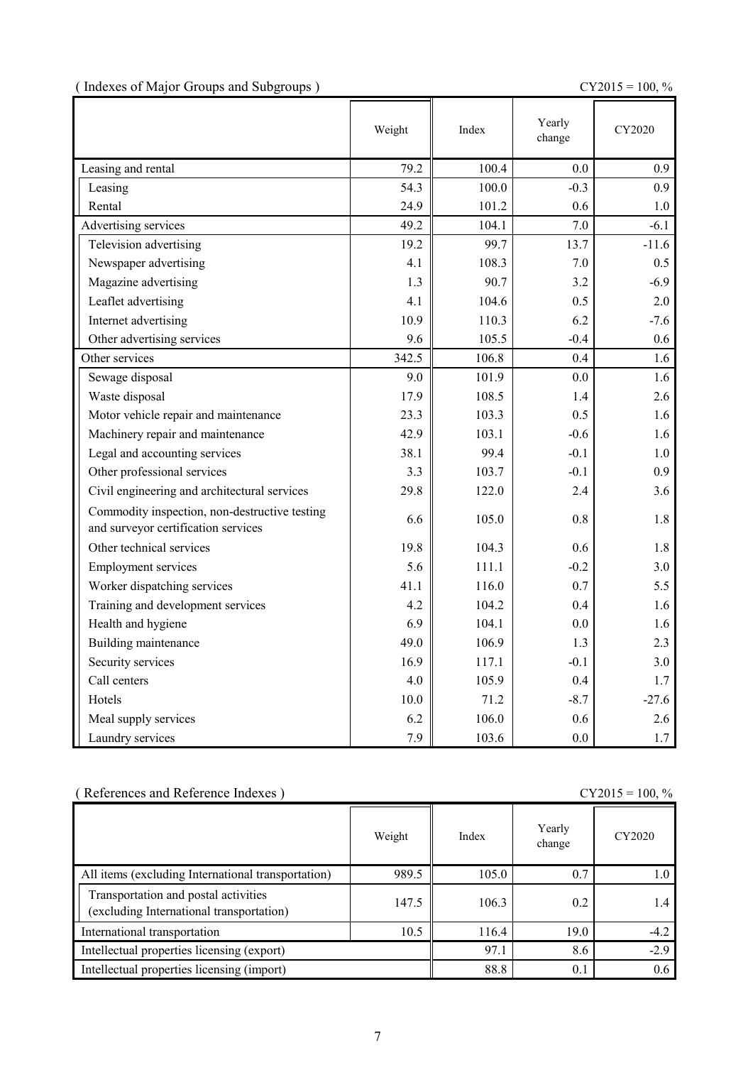|  | (Indexes of Major Groups and Subgroups) |  |  |
|--|-----------------------------------------|--|--|
|  |                                         |  |  |

 $CY2015 = 100, \%$ 

|                                                                                      | Weight | Index | Yearly<br>change | CY2020  |
|--------------------------------------------------------------------------------------|--------|-------|------------------|---------|
| Leasing and rental                                                                   | 79.2   | 100.4 | 0.0              | 0.9     |
| Leasing                                                                              | 54.3   | 100.0 | $-0.3$           | 0.9     |
| Rental                                                                               | 24.9   | 101.2 | 0.6              | 1.0     |
| Advertising services                                                                 | 49.2   | 104.1 | 7.0              | $-6.1$  |
| Television advertising                                                               | 19.2   | 99.7  | 13.7             | $-11.6$ |
| Newspaper advertising                                                                | 4.1    | 108.3 | 7.0              | 0.5     |
| Magazine advertising                                                                 | 1.3    | 90.7  | 3.2              | $-6.9$  |
| Leaflet advertising                                                                  | 4.1    | 104.6 | 0.5              | 2.0     |
| Internet advertising                                                                 | 10.9   | 110.3 | 6.2              | $-7.6$  |
| Other advertising services                                                           | 9.6    | 105.5 | $-0.4$           | 0.6     |
| Other services                                                                       | 342.5  | 106.8 | 0.4              | 1.6     |
| Sewage disposal                                                                      | 9.0    | 101.9 | 0.0              | 1.6     |
| Waste disposal                                                                       | 17.9   | 108.5 | 1.4              | 2.6     |
| Motor vehicle repair and maintenance                                                 | 23.3   | 103.3 | 0.5              | 1.6     |
| Machinery repair and maintenance                                                     | 42.9   | 103.1 | $-0.6$           | 1.6     |
| Legal and accounting services                                                        | 38.1   | 99.4  | $-0.1$           | 1.0     |
| Other professional services                                                          | 3.3    | 103.7 | $-0.1$           | 0.9     |
| Civil engineering and architectural services                                         | 29.8   | 122.0 | 2.4              | 3.6     |
| Commodity inspection, non-destructive testing<br>and surveyor certification services | 6.6    | 105.0 | 0.8              | 1.8     |
| Other technical services                                                             | 19.8   | 104.3 | 0.6              | 1.8     |
| <b>Employment services</b>                                                           | 5.6    | 111.1 | $-0.2$           | 3.0     |
| Worker dispatching services                                                          | 41.1   | 116.0 | 0.7              | 5.5     |
| Training and development services                                                    | 4.2    | 104.2 | 0.4              | 1.6     |
| Health and hygiene                                                                   | 6.9    | 104.1 | 0.0              | 1.6     |
| Building maintenance                                                                 | 49.0   | 106.9 | 1.3              | 2.3     |
| Security services                                                                    | 16.9   | 117.1 | $-0.1$           | 3.0     |
| Call centers                                                                         | 4.0    | 105.9 | 0.4              | 1.7     |
| Hotels                                                                               | 10.0   | 71.2  | $-8.7$           | $-27.6$ |
| Meal supply services                                                                 | 6.2    | 106.0 | 0.6              | 2.6     |
| Laundry services                                                                     | 7.9    | 103.6 | 0.0              | 1.7     |

| (References and Reference Indexes)<br>$CY2015 = 100, \%$                         |        |       |                  |        |
|----------------------------------------------------------------------------------|--------|-------|------------------|--------|
|                                                                                  | Weight | Index | Yearly<br>change | CY2020 |
| All items (excluding International transportation)                               | 989.5  | 105.0 | 0.7              | 1.0    |
| Transportation and postal activities<br>(excluding International transportation) | 147.5  | 106.3 | 0.2              | 1.4    |
| International transportation                                                     | 10.5   | 116.4 | 19.0             | $-4.2$ |
| Intellectual properties licensing (export)                                       |        | 97.1  | 8.6              | $-2.9$ |
| Intellectual properties licensing (import)                                       |        | 88.8  | 0.1              | 0.6    |